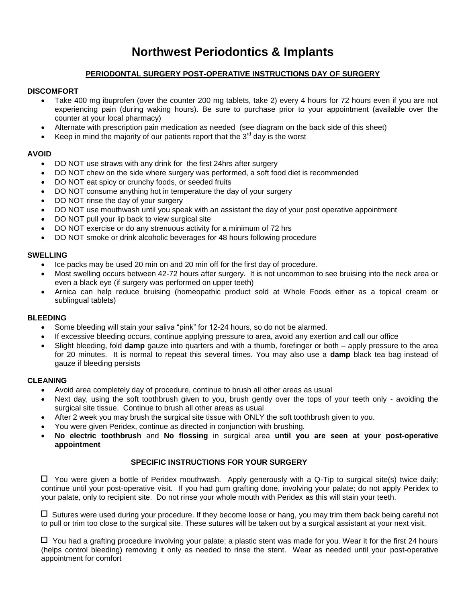# **Northwest Periodontics & Implants**

# **PERIODONTAL SURGERY POST-OPERATIVE INSTRUCTIONS DAY OF SURGERY**

## **DISCOMFORT**

- Take 400 mg ibuprofen (over the counter 200 mg tablets, take 2) every 4 hours for 72 hours even if you are not experiencing pain (during waking hours). Be sure to purchase prior to your appointment (available over the counter at your local pharmacy)
- Alternate with prescription pain medication as needed (see diagram on the back side of this sheet)
- Keep in mind the majority of our patients report that the  $3<sup>rd</sup>$  day is the worst

## **AVOID**

- DO NOT use straws with any drink for the first 24hrs after surgery
- DO NOT chew on the side where surgery was performed, a soft food diet is recommended
- DO NOT eat spicy or crunchy foods, or seeded fruits
- DO NOT consume anything hot in temperature the day of your surgery
- DO NOT rinse the day of your surgery
- DO NOT use mouthwash until you speak with an assistant the day of your post operative appointment
- DO NOT pull your lip back to view surgical site
- DO NOT exercise or do any strenuous activity for a minimum of 72 hrs
- DO NOT smoke or drink alcoholic beverages for 48 hours following procedure

## **SWELLING**

- Ice packs may be used 20 min on and 20 min off for the first day of procedure.
- Most swelling occurs between 42-72 hours after surgery. It is not uncommon to see bruising into the neck area or even a black eye (if surgery was performed on upper teeth)
- Arnica can help reduce bruising (homeopathic product sold at Whole Foods either as a topical cream or sublingual tablets)

#### **BLEEDING**

- Some bleeding will stain your saliva "pink" for 12-24 hours, so do not be alarmed.
- If excessive bleeding occurs, continue applying pressure to area, avoid any exertion and call our office
- Slight bleeding, fold **damp** gauze into quarters and with a thumb, forefinger or both apply pressure to the area for 20 minutes. It is normal to repeat this several times. You may also use a **damp** black tea bag instead of gauze if bleeding persists

#### **CLEANING**

- Avoid area completely day of procedure, continue to brush all other areas as usual
- Next day, using the soft toothbrush given to you, brush gently over the tops of your teeth only avoiding the surgical site tissue. Continue to brush all other areas as usual
- After 2 week you may brush the surgical site tissue with ONLY the soft toothbrush given to you.
- You were given Peridex, continue as directed in conjunction with brushing.
- **No electric toothbrush** and **No flossing** in surgical area **until you are seen at your post-operative appointment**

## **SPECIFIC INSTRUCTIONS FOR YOUR SURGERY**

 $\Box$  You were given a bottle of Peridex mouthwash. Apply generously with a Q-Tip to surgical site(s) twice daily; continue until your post-operative visit. If you had gum grafting done, involving your palate; do not apply Peridex to your palate, only to recipient site. Do not rinse your whole mouth with Peridex as this will stain your teeth.

 $\Box$  Sutures were used during your procedure. If they become loose or hang, you may trim them back being careful not to pull or trim too close to the surgical site. These sutures will be taken out by a surgical assistant at your next visit.

 $\Box$  You had a grafting procedure involving your palate; a plastic stent was made for you. Wear it for the first 24 hours (helps control bleeding) removing it only as needed to rinse the stent. Wear as needed until your post-operative appointment for comfort